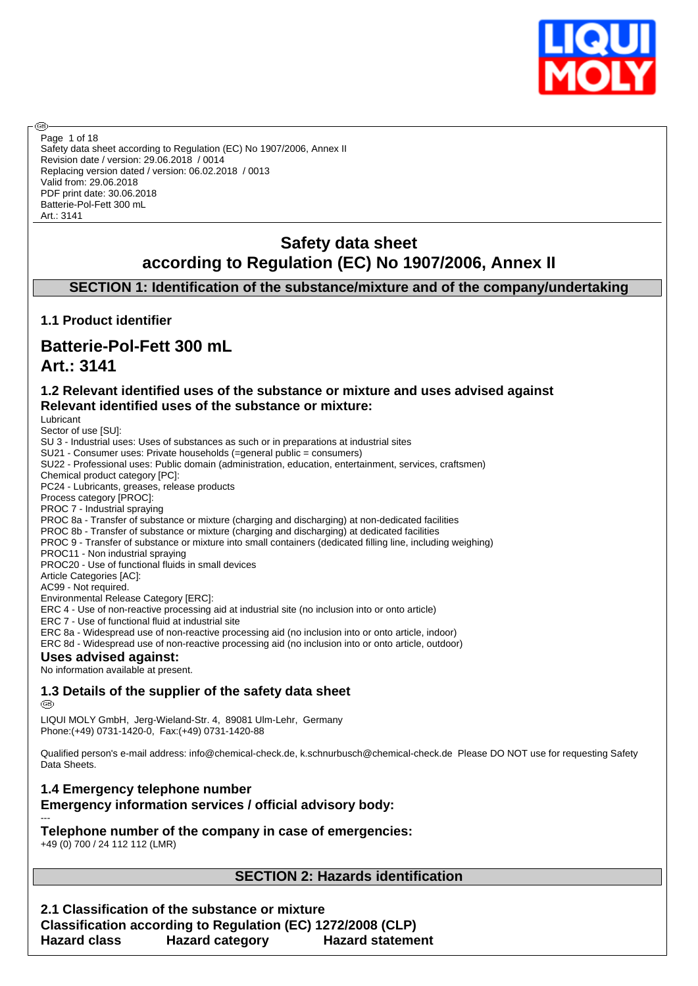

Safety data sheet according to Regulation (EC) No 1907/2006, Annex II Revision date / version: 29.06.2018 / 0014 Replacing version dated / version: 06.02.2018 / 0013 Valid from: 29.06.2018 PDF print date: 30.06.2018 Batterie-Pol-Fett 300 mL Art.: 3141 Page 1 of 18

# **Safety data sheet according to Regulation (EC) No 1907/2006, Annex II**

# **SECTION 1: Identification of the substance/mixture and of the company/undertaking**

# **1.1 Product identifier**

# **Batterie-Pol-Fett 300 mL Art.: 3141**

# **1.2 Relevant identified uses of the substance or mixture and uses advised against Relevant identified uses of the substance or mixture:**

Lubricant

അ

Sector of use [SU]: SU 3 - Industrial uses: Uses of substances as such or in preparations at industrial sites

SU21 - Consumer uses: Private households (=general public = consumers)

SU22 - Professional uses: Public domain (administration, education, entertainment, services, craftsmen)

Chemical product category [PC]:

PC24 - Lubricants, greases, release products

Process category [PROC]:

PROC 7 - Industrial spraying PROC 8a - Transfer of substance or mixture (charging and discharging) at non-dedicated facilities

PROC 8b - Transfer of substance or mixture (charging and discharging) at dedicated facilities

PROC 9 - Transfer of substance or mixture into small containers (dedicated filling line, including weighing)

PROC11 - Non industrial spraying

PROC20 - Use of functional fluids in small devices

Article Categories [AC]:

AC99 - Not required. Environmental Release Category [ERC]:

ERC 4 - Use of non-reactive processing aid at industrial site (no inclusion into or onto article)

ERC 7 - Use of functional fluid at industrial site

ERC 8a - Widespread use of non-reactive processing aid (no inclusion into or onto article, indoor)

ERC 8d - Widespread use of non-reactive processing aid (no inclusion into or onto article, outdoor)

#### **Uses advised against:**

No information available at present.

**1.3 Details of the supplier of the safety data sheet**

**®** 

LIQUI MOLY GmbH, Jerg-Wieland-Str. 4, 89081 Ulm-Lehr, Germany Phone:(+49) 0731-1420-0, Fax:(+49) 0731-1420-88

Qualified person's e-mail address: info@chemical-check.de, k.schnurbusch@chemical-check.de Please DO NOT use for requesting Safety Data Sheets.

#### **1.4 Emergency telephone number Emergency information services / official advisory body:** ---

**Telephone number of the company in case of emergencies:**

+49 (0) 700 / 24 112 112 (LMR)

# **SECTION 2: Hazards identification**

**2.1 Classification of the substance or mixture Classification according to Regulation (EC) 1272/2008 (CLP) Hazard class Hazard category Hazard statement**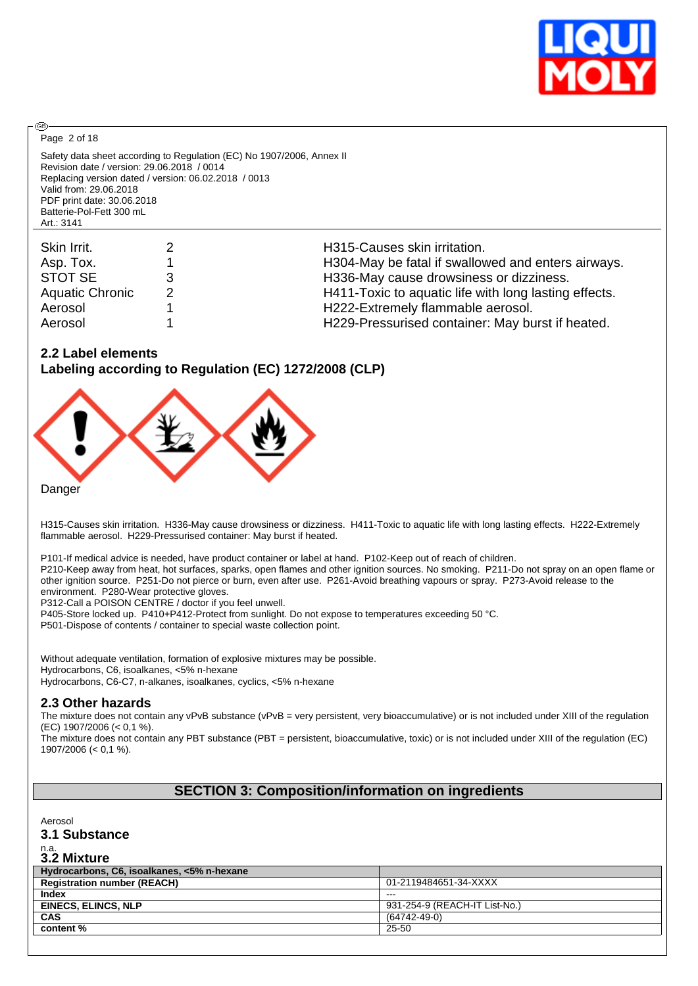

Page 2 of 18

**®** 

Safety data sheet according to Regulation (EC) No 1907/2006, Annex II Revision date / version: 29.06.2018 / 0014 Replacing version dated / version: 06.02.2018 / 0013 Valid from: 29.06.2018 PDF print date: 30.06.2018 Batterie-Pol-Fett 300 mL Art.: 3141

| Skin Irrit.            | H315-Causes skin irritation.                          |
|------------------------|-------------------------------------------------------|
| Asp. Tox.              | H304-May be fatal if swallowed and enters airways.    |
| STOT SE                | H336-May cause drowsiness or dizziness.               |
| <b>Aquatic Chronic</b> | H411-Toxic to aquatic life with long lasting effects. |
| Aerosol                | H222-Extremely flammable aerosol.                     |
| Aerosol                | H229-Pressurised container: May burst if heated.      |

## **2.2 Label elements**

**Labeling according to Regulation (EC) 1272/2008 (CLP)**



Danger

H315-Causes skin irritation. H336-May cause drowsiness or dizziness. H411-Toxic to aquatic life with long lasting effects. H222-Extremely flammable aerosol. H229-Pressurised container: May burst if heated.

P101-If medical advice is needed, have product container or label at hand. P102-Keep out of reach of children.

P210-Keep away from heat, hot surfaces, sparks, open flames and other ignition sources. No smoking. P211-Do not spray on an open flame or other ignition source. P251-Do not pierce or burn, even after use. P261-Avoid breathing vapours or spray. P273-Avoid release to the environment. P280-Wear protective gloves.

P312-Call a POISON CENTRE / doctor if you feel unwell.

P405-Store locked up. P410+P412-Protect from sunlight. Do not expose to temperatures exceeding 50 °C.

P501-Dispose of contents / container to special waste collection point.

Without adequate ventilation, formation of explosive mixtures may be possible. Hydrocarbons, C6, isoalkanes, <5% n-hexane Hydrocarbons, C6-C7, n-alkanes, isoalkanes, cyclics, <5% n-hexane

## **2.3 Other hazards**

The mixture does not contain any vPvB substance (vPvB = very persistent, very bioaccumulative) or is not included under XIII of the regulation (EC) 1907/2006 (< 0,1 %).

The mixture does not contain any PBT substance (PBT = persistent, bioaccumulative, toxic) or is not included under XIII of the regulation (EC) 1907/2006 (< 0,1 %).

# **SECTION 3: Composition/information on ingredients**

Aerosol

#### **3.1 Substance**

# n.a. **3.2 Mixture**

| Hydrocarbons, C6, isoalkanes, <5% n-hexane |                               |
|--------------------------------------------|-------------------------------|
| <b>Registration number (REACH)</b>         | 01-2119484651-34-XXXX         |
| Index                                      | $- - -$                       |
| <b>EINECS. ELINCS. NLP</b>                 | 931-254-9 (REACH-IT List-No.) |
| <b>CAS</b>                                 | $(64742 - 49 - 0)$            |
| content %                                  | 25-50                         |
|                                            |                               |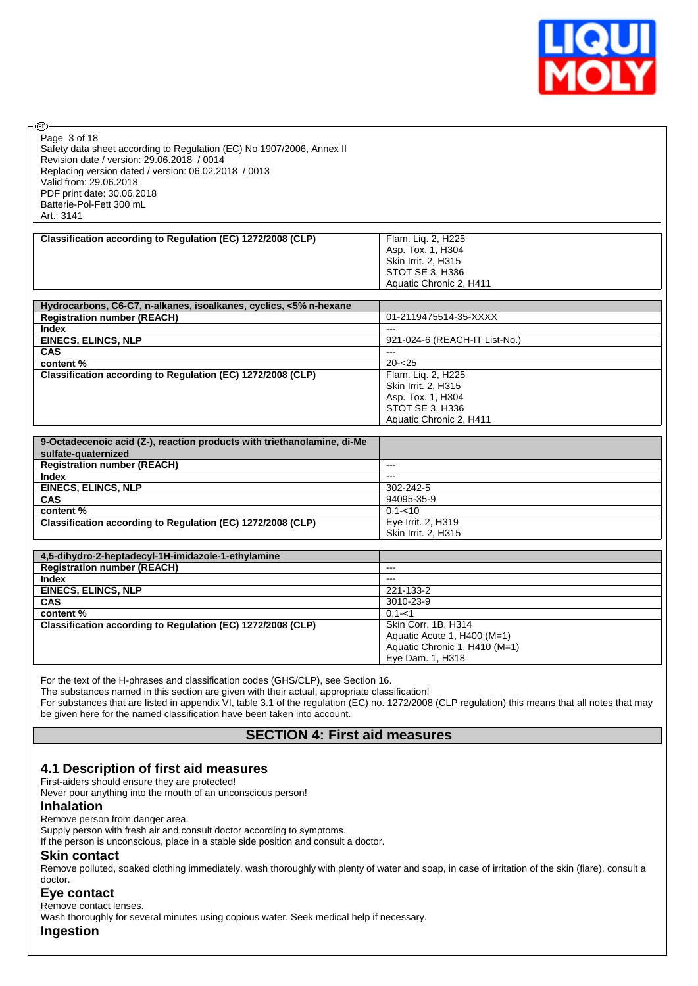

| رس<br>Page 3 of 18<br>Safety data sheet according to Regulation (EC) No 1907/2006, Annex II<br>Revision date / version: 29.06.2018 / 0014<br>Replacing version dated / version: 06.02.2018 / 0013<br>Valid from: 29.06.2018<br>PDF print date: 30.06.2018 |                                                                                                              |
|-----------------------------------------------------------------------------------------------------------------------------------------------------------------------------------------------------------------------------------------------------------|--------------------------------------------------------------------------------------------------------------|
| Batterie-Pol-Fett 300 mL                                                                                                                                                                                                                                  |                                                                                                              |
| Art.: 3141                                                                                                                                                                                                                                                |                                                                                                              |
| Classification according to Regulation (EC) 1272/2008 (CLP)                                                                                                                                                                                               | Flam. Liq. 2, H225<br>Asp. Tox. 1, H304<br>Skin Irrit. 2, H315<br>STOT SE 3, H336<br>Aquatic Chronic 2, H411 |
|                                                                                                                                                                                                                                                           |                                                                                                              |
| Hydrocarbons, C6-C7, n-alkanes, isoalkanes, cyclics, <5% n-hexane                                                                                                                                                                                         |                                                                                                              |
| <b>Registration number (REACH)</b><br><b>Index</b>                                                                                                                                                                                                        | 01-2119475514-35-XXXX                                                                                        |
| <b>EINECS, ELINCS, NLP</b>                                                                                                                                                                                                                                | 921-024-6 (REACH-IT List-No.)                                                                                |
| CAS                                                                                                                                                                                                                                                       |                                                                                                              |
| content%                                                                                                                                                                                                                                                  | $20 - 25$                                                                                                    |
| Classification according to Regulation (EC) 1272/2008 (CLP)                                                                                                                                                                                               | Flam. Liq. 2, H225<br>Skin Irrit. 2, H315<br>Asp. Tox. 1, H304<br>STOT SE 3, H336<br>Aquatic Chronic 2, H411 |
| 9-Octadecenoic acid (Z-), reaction products with triethanolamine, di-Me<br>sulfate-quaternized                                                                                                                                                            |                                                                                                              |
| <b>Registration number (REACH)</b>                                                                                                                                                                                                                        | $\overline{a}$                                                                                               |
| <b>Index</b>                                                                                                                                                                                                                                              | $\sim$                                                                                                       |
| <b>EINECS, ELINCS, NLP</b>                                                                                                                                                                                                                                | 302-242-5                                                                                                    |
| <b>CAS</b>                                                                                                                                                                                                                                                | 94095-35-9<br>$0.1 - 10$                                                                                     |
| content%<br>Classification according to Regulation (EC) 1272/2008 (CLP)                                                                                                                                                                                   | Eye Irrit. 2, H319<br>Skin Irrit. 2, H315                                                                    |
| 4,5-dihydro-2-heptadecyl-1H-imidazole-1-ethylamine                                                                                                                                                                                                        |                                                                                                              |
| <b>Registration number (REACH)</b>                                                                                                                                                                                                                        | $---$                                                                                                        |
| <b>Index</b>                                                                                                                                                                                                                                              | $---$                                                                                                        |
| <b>EINECS, ELINCS, NLP</b>                                                                                                                                                                                                                                | 221-133-2                                                                                                    |
| <b>CAS</b>                                                                                                                                                                                                                                                | 3010-23-9                                                                                                    |
| content%                                                                                                                                                                                                                                                  | $0, 1 - 1$                                                                                                   |
| Classification according to Regulation (EC) 1272/2008 (CLP)                                                                                                                                                                                               | Skin Corr. 1B, H314<br>Aquatic Acute 1, H400 (M=1)<br>Aquatic Chronic 1, H410 (M=1)<br>Eye Dam. 1, H318      |

For the text of the H-phrases and classification codes (GHS/CLP), see Section 16.

The substances named in this section are given with their actual, appropriate classification!

For substances that are listed in appendix VI, table 3.1 of the regulation (EC) no. 1272/2008 (CLP regulation) this means that all notes that may be given here for the named classification have been taken into account.

# **SECTION 4: First aid measures**

## **4.1 Description of first aid measures**

First-aiders should ensure they are protected!

Never pour anything into the mouth of an unconscious person!

#### **Inhalation**

æ

Remove person from danger area.

Supply person with fresh air and consult doctor according to symptoms.

If the person is unconscious, place in a stable side position and consult a doctor.

#### **Skin contact**

Remove polluted, soaked clothing immediately, wash thoroughly with plenty of water and soap, in case of irritation of the skin (flare), consult a doctor.

## **Eye contact**

Remove contact lenses.

Wash thoroughly for several minutes using copious water. Seek medical help if necessary.

**Ingestion**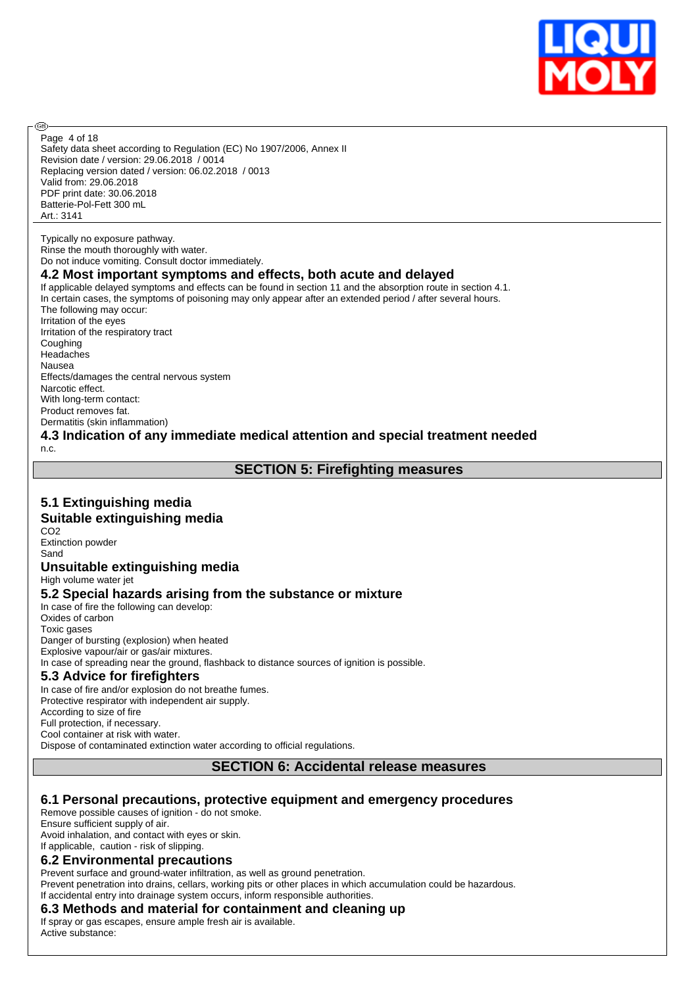

Safety data sheet according to Regulation (EC) No 1907/2006, Annex II Revision date / version: 29.06.2018 / 0014 Replacing version dated / version: 06.02.2018 / 0013 Valid from: 29.06.2018 PDF print date: 30.06.2018 Batterie-Pol-Fett 300 mL Art.: 3141 Page 4 of 18

Typically no exposure pathway. Rinse the mouth thoroughly with water. Do not induce vomiting. Consult doctor immediately.

# **4.2 Most important symptoms and effects, both acute and delayed**

If applicable delayed symptoms and effects can be found in section 11 and the absorption route in section 4.1. In certain cases, the symptoms of poisoning may only appear after an extended period / after several hours. The following may occur: Irritation of the eyes Irritation of the respiratory tract **Coughing** Headaches Nausea Effects/damages the central nervous system Narcotic effect. With long-term contact: Product removes fat. Dermatitis (skin inflammation)

# **4.3 Indication of any immediate medical attention and special treatment needed**

n.c.

൹

# **SECTION 5: Firefighting measures**

# **5.1 Extinguishing media**

# **Suitable extinguishing media**

C<sub>O2</sub> Extinction powder Sand

#### **Unsuitable extinguishing media**

High volume water jet

## **5.2 Special hazards arising from the substance or mixture**

In case of fire the following can develop: Oxides of carbon Toxic gases Danger of bursting (explosion) when heated Explosive vapour/air or gas/air mixtures. In case of spreading near the ground, flashback to distance sources of ignition is possible.

# **5.3 Advice for firefighters**

In case of fire and/or explosion do not breathe fumes. Protective respirator with independent air supply. According to size of fire Full protection, if necessary. Cool container at risk with water. Dispose of contaminated extinction water according to official regulations.

## **SECTION 6: Accidental release measures**

## **6.1 Personal precautions, protective equipment and emergency procedures**

Remove possible causes of ignition - do not smoke. Ensure sufficient supply of air. Avoid inhalation, and contact with eyes or skin.

# If applicable, caution - risk of slipping.

#### **6.2 Environmental precautions**

Prevent surface and ground-water infiltration, as well as ground penetration. Prevent penetration into drains, cellars, working pits or other places in which accumulation could be hazardous. If accidental entry into drainage system occurs, inform responsible authorities.

## **6.3 Methods and material for containment and cleaning up**

If spray or gas escapes, ensure ample fresh air is available. Active substance: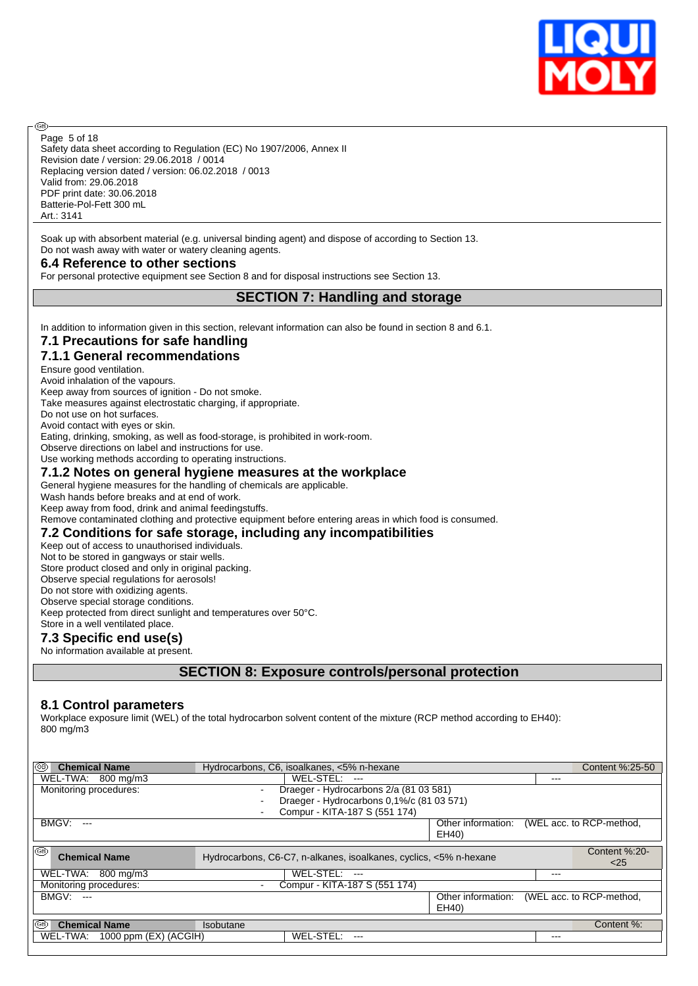

Safety data sheet according to Regulation (EC) No 1907/2006, Annex II Revision date / version: 29.06.2018 / 0014 Replacing version dated / version: 06.02.2018 / 0013 Valid from: 29.06.2018 PDF print date: 30.06.2018 Batterie-Pol-Fett 300 mL Art.: 3141 Page 5 of 18

Soak up with absorbent material (e.g. universal binding agent) and dispose of according to Section 13. Do not wash away with water or watery cleaning agents.

#### **6.4 Reference to other sections**

For personal protective equipment see Section 8 and for disposal instructions see Section 13.

# **SECTION 7: Handling and storage**

In addition to information given in this section, relevant information can also be found in section 8 and 6.1.

# **7.1 Precautions for safe handling**

#### **7.1.1 General recommendations**

Ensure good ventilation.

൹

Avoid inhalation of the vapours. Keep away from sources of ignition - Do not smoke.

Take measures against electrostatic charging, if appropriate.

Do not use on hot surfaces.

Avoid contact with eyes or skin.

Eating, drinking, smoking, as well as food-storage, is prohibited in work-room.

Observe directions on label and instructions for use.

#### Use working methods according to operating instructions. **7.1.2 Notes on general hygiene measures at the workplace**

General hygiene measures for the handling of chemicals are applicable.

Wash hands before breaks and at end of work.

Keep away from food, drink and animal feedingstuffs.

Remove contaminated clothing and protective equipment before entering areas in which food is consumed.

# **7.2 Conditions for safe storage, including any incompatibilities**

Keep out of access to unauthorised individuals.

Not to be stored in gangways or stair wells.

Store product closed and only in original packing.

Observe special regulations for aerosols!

Do not store with oxidizing agents. Observe special storage conditions.

Keep protected from direct sunlight and temperatures over 50°C. Store in a well ventilated place.

# **7.3 Specific end use(s)**

No information available at present.

# **SECTION 8: Exposure controls/personal protection**

## **8.1 Control parameters**

Workplace exposure limit (WEL) of the total hydrocarbon solvent content of the mixture (RCP method according to EH40): 800 mg/m3

| ⊛<br><b>Chemical Name</b>             | Hydrocarbons, C6, isoalkanes, <5% n-hexane                        |                             | Content %:25-50          |
|---------------------------------------|-------------------------------------------------------------------|-----------------------------|--------------------------|
| WEL-TWA: 800 mg/m3                    | $WEL-STEL: --$                                                    |                             | $---$                    |
| Monitoring procedures:                | Draeger - Hydrocarbons 2/a (81 03 581)<br>$\blacksquare$          |                             |                          |
|                                       | Draeger - Hydrocarbons 0,1%/c (81 03 571)                         |                             |                          |
|                                       | Compur - KITA-187 S (551 174)                                     |                             |                          |
| <b>BMGV: ---</b>                      |                                                                   | Other information:<br>EH40) | (WEL acc. to RCP-method, |
| ⊛<br><b>Chemical Name</b>             | Hydrocarbons, C6-C7, n-alkanes, isoalkanes, cyclics, <5% n-hexane |                             | Content %:20-<br>$<$ 25  |
| WEL-TWA:<br>800 ma/m3                 | WEL-STEL: ---                                                     |                             | $---$                    |
| Monitoring procedures:                | Compur - KITA-187 S (551 174)                                     |                             |                          |
| <b>BMGV: ---</b>                      |                                                                   | Other information:<br>EH40) | (WEL acc. to RCP-method, |
| ⊛<br><b>Chemical Name</b>             | <b>Isobutane</b>                                                  |                             | Content %:               |
| WEL-TWA:<br>1000 ppm $(EX)$ $(ACGIH)$ | WEL-STEL:                                                         |                             | $---$                    |
|                                       |                                                                   |                             |                          |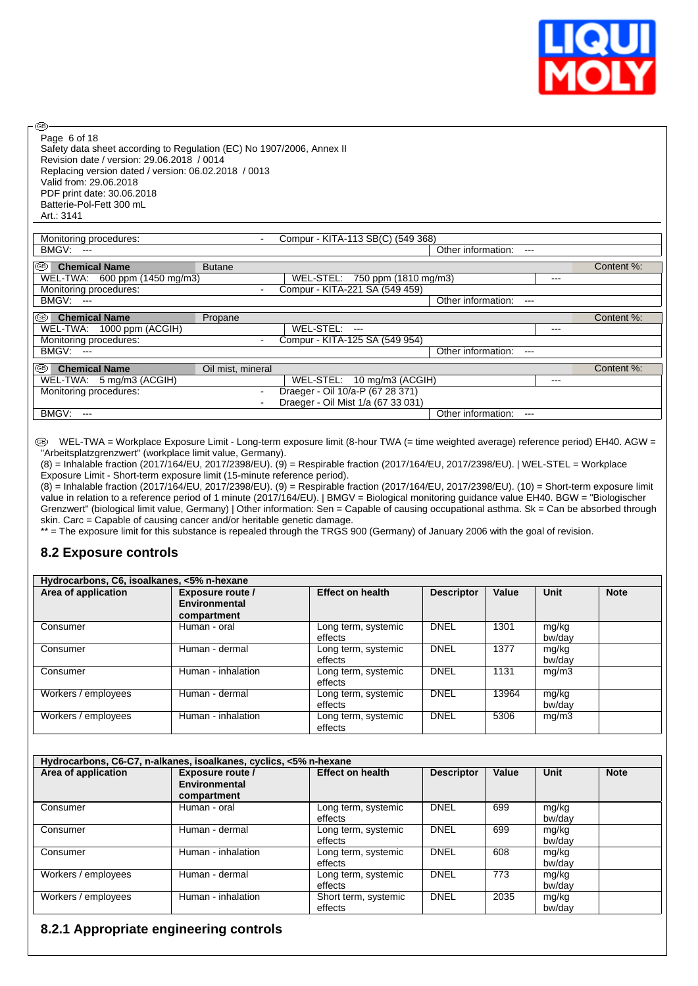

Page 6 of 18

**®** 

Safety data sheet according to Regulation (EC) No 1907/2006, Annex II Revision date / version: 29.06.2018 / 0014 Replacing version dated / version: 06.02.2018 / 0013 Valid from: 29.06.2018 PDF print date: 30.06.2018 Batterie-Pol-Fett 300 mL Art.: 3141

| Monitoring procedures:        | $\blacksquare$           |               | Compur - KITA-113 SB(C) (549 368)  |                               |       |            |
|-------------------------------|--------------------------|---------------|------------------------------------|-------------------------------|-------|------------|
| BMGV: ---                     |                          |               |                                    | Other information:<br>$- - -$ |       |            |
|                               |                          |               |                                    |                               |       |            |
| I®<br><b>Chemical Name</b>    | <b>Butane</b>            |               |                                    |                               |       | Content %: |
| WEL-TWA: 600 ppm (1450 mg/m3) |                          |               | WEL-STEL: 750 ppm (1810 mg/m3)     |                               | ---   |            |
| Monitoring procedures:        | $\blacksquare$           |               | Compur - KITA-221 SA (549 459)     |                               |       |            |
| BMGV: ---                     |                          |               |                                    | Other information:<br>$---$   |       |            |
|                               |                          |               |                                    |                               |       |            |
| k®<br><b>Chemical Name</b>    | Propane                  |               |                                    |                               |       | Content %: |
| WEL-TWA: 1000 ppm (ACGIH)     |                          | WEL-STEL: --- |                                    |                               | $---$ |            |
| Monitoring procedures:        | $\blacksquare$           |               | Compur - KITA-125 SA (549 954)     |                               |       |            |
| BMGV: ---                     |                          |               |                                    | Other information:            |       |            |
|                               |                          |               |                                    |                               |       |            |
| ⊛<br><b>Chemical Name</b>     | Oil mist, mineral        |               |                                    |                               |       | Content %: |
| WEL-TWA: 5 mg/m3 (ACGIH)      |                          |               | WEL-STEL: 10 mg/m3 (ACGIH)         |                               | ---   |            |
| Monitoring procedures:        | $\overline{\phantom{a}}$ |               | Draeger - Oil 10/a-P (67 28 371)   |                               |       |            |
|                               | $\blacksquare$           |               | Draeger - Oil Mist 1/a (67 33 031) |                               |       |            |
| BMGV:<br>$---$                |                          |               |                                    | Other information:<br>$---$   |       |            |
|                               |                          |               |                                    |                               |       |            |

 WEL-TWA = Workplace Exposure Limit - Long-term exposure limit (8-hour TWA (= time weighted average) reference period) EH40. AGW = "Arbeitsplatzgrenzwert" (workplace limit value, Germany).

(8) = Inhalable fraction (2017/164/EU, 2017/2398/EU). (9) = Respirable fraction (2017/164/EU, 2017/2398/EU). | WEL-STEL = Workplace Exposure Limit - Short-term exposure limit (15-minute reference period).

(8) = Inhalable fraction (2017/164/EU, 2017/2398/EU). (9) = Respirable fraction (2017/164/EU, 2017/2398/EU). (10) = Short-term exposure limit value in relation to a reference period of 1 minute (2017/164/EU). | BMGV = Biological monitoring guidance value EH40. BGW = "Biologischer Grenzwert" (biological limit value, Germany) | Other information: Sen = Capable of causing occupational asthma. Sk = Can be absorbed through skin. Carc = Capable of causing cancer and/or heritable genetic damage.

\*\* = The exposure limit for this substance is repealed through the TRGS 900 (Germany) of January 2006 with the goal of revision.

# **8.2 Exposure controls**

| Hydrocarbons, C6, isoalkanes, <5% n-hexane |                                                  |                                |                   |       |                 |             |  |  |
|--------------------------------------------|--------------------------------------------------|--------------------------------|-------------------|-------|-----------------|-------------|--|--|
| Area of application                        | Exposure route /<br>Environmental<br>compartment | <b>Effect on health</b>        | <b>Descriptor</b> | Value | Unit            | <b>Note</b> |  |  |
| Consumer                                   | Human - oral                                     | Long term, systemic<br>effects | <b>DNEL</b>       | 1301  | mg/kg<br>bw/day |             |  |  |
| Consumer                                   | Human - dermal                                   | Long term, systemic<br>effects | <b>DNEL</b>       | 1377  | mg/kg<br>bw/day |             |  |  |
| Consumer                                   | Human - inhalation                               | Long term, systemic<br>effects | <b>DNEL</b>       | 1131  | mg/m3           |             |  |  |
| Workers / employees                        | Human - dermal                                   | Long term, systemic<br>effects | <b>DNEL</b>       | 13964 | mg/kg<br>bw/day |             |  |  |
| Workers / employees                        | Human - inhalation                               | Long term, systemic<br>effects | <b>DNEL</b>       | 5306  | mg/m3           |             |  |  |

| Hydrocarbons, C6-C7, n-alkanes, isoalkanes, cyclics, <5% n-hexane |                                                  |                                 |                   |       |                 |             |  |  |
|-------------------------------------------------------------------|--------------------------------------------------|---------------------------------|-------------------|-------|-----------------|-------------|--|--|
| Area of application                                               | Exposure route /<br>Environmental<br>compartment | <b>Effect on health</b>         | <b>Descriptor</b> | Value | Unit            | <b>Note</b> |  |  |
| Consumer                                                          | Human - oral                                     | Long term, systemic<br>effects  | <b>DNEL</b>       | 699   | mg/kg<br>bw/day |             |  |  |
| Consumer                                                          | Human - dermal                                   | Long term, systemic<br>effects  | <b>DNEL</b>       | 699   | mg/kg<br>bw/dav |             |  |  |
| Consumer                                                          | Human - inhalation                               | Long term, systemic<br>effects  | <b>DNEL</b>       | 608   | mg/kg<br>bw/day |             |  |  |
| Workers / employees                                               | Human - dermal                                   | Long term, systemic<br>effects  | <b>DNEL</b>       | 773   | mg/kg<br>bw/day |             |  |  |
| Workers / employees                                               | Human - inhalation                               | Short term, systemic<br>effects | <b>DNEL</b>       | 2035  | mg/kg<br>bw/dav |             |  |  |

# **8.2.1 Appropriate engineering controls**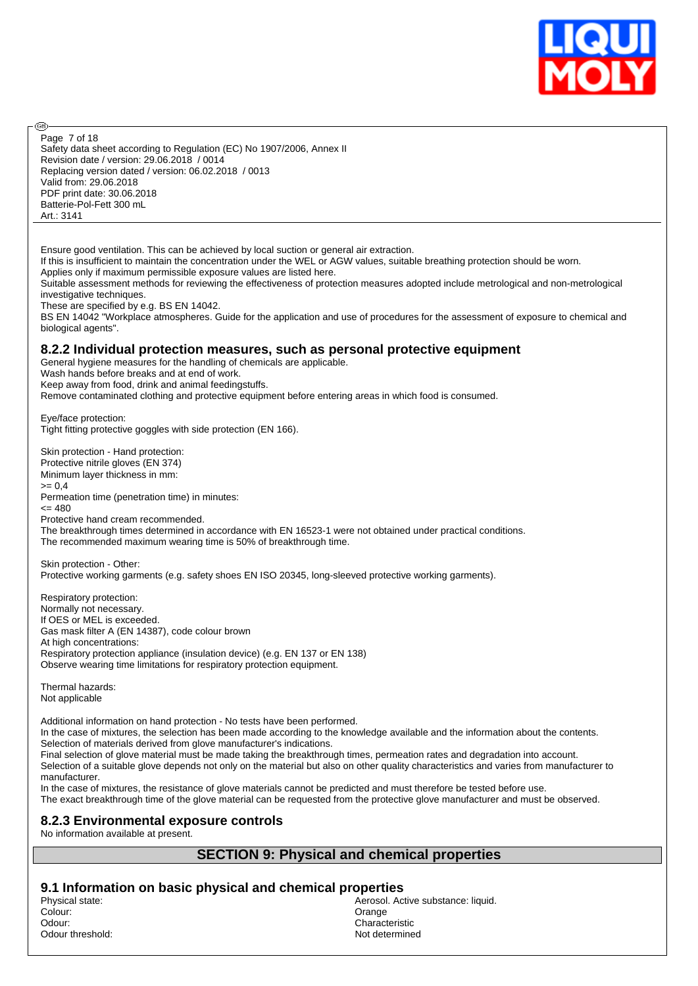

Safety data sheet according to Regulation (EC) No 1907/2006, Annex II Revision date / version: 29.06.2018 / 0014 Replacing version dated / version: 06.02.2018 / 0013 Valid from: 29.06.2018 PDF print date: 30.06.2018 Batterie-Pol-Fett 300 mL Art.: 3141 Page 7 of 18

Ensure good ventilation. This can be achieved by local suction or general air extraction.

If this is insufficient to maintain the concentration under the WEL or AGW values, suitable breathing protection should be worn.

Applies only if maximum permissible exposure values are listed here.

Suitable assessment methods for reviewing the effectiveness of protection measures adopted include metrological and non-metrological investigative techniques.

These are specified by e.g. BS EN 14042.

അ

BS EN 14042 "Workplace atmospheres. Guide for the application and use of procedures for the assessment of exposure to chemical and biological agents".

#### **8.2.2 Individual protection measures, such as personal protective equipment**

General hygiene measures for the handling of chemicals are applicable.

Wash hands before breaks and at end of work.

Keep away from food, drink and animal feedingstuffs.

Remove contaminated clothing and protective equipment before entering areas in which food is consumed.

Eye/face protection: Tight fitting protective goggles with side protection (EN 166).

Skin protection - Hand protection: Protective nitrile gloves (EN 374) Minimum layer thickness in mm:  $>= 0.4$ Permeation time (penetration time) in minutes:  $= 480$ Protective hand cream recommended. The breakthrough times determined in accordance with EN 16523-1 were not obtained under practical conditions. The recommended maximum wearing time is 50% of breakthrough time.

Skin protection - Other: Protective working garments (e.g. safety shoes EN ISO 20345, long-sleeved protective working garments).

Respiratory protection: Normally not necessary. If OES or MEL is exceeded. Gas mask filter A (EN 14387), code colour brown At high concentrations: Respiratory protection appliance (insulation device) (e.g. EN 137 or EN 138) Observe wearing time limitations for respiratory protection equipment.

Thermal hazards: Not applicable

Additional information on hand protection - No tests have been performed.

In the case of mixtures, the selection has been made according to the knowledge available and the information about the contents. Selection of materials derived from glove manufacturer's indications.

Final selection of glove material must be made taking the breakthrough times, permeation rates and degradation into account.

Selection of a suitable glove depends not only on the material but also on other quality characteristics and varies from manufacturer to manufacturer.

In the case of mixtures, the resistance of glove materials cannot be predicted and must therefore be tested before use. The exact breakthrough time of the glove material can be requested from the protective glove manufacturer and must be observed.

## **8.2.3 Environmental exposure controls**

No information available at present.

## **SECTION 9: Physical and chemical properties**

# **9.1 Information on basic physical and chemical properties**

Colour: Orange Odour: Characteristic Odour threshold:

Aerosol. Active substance: liquid.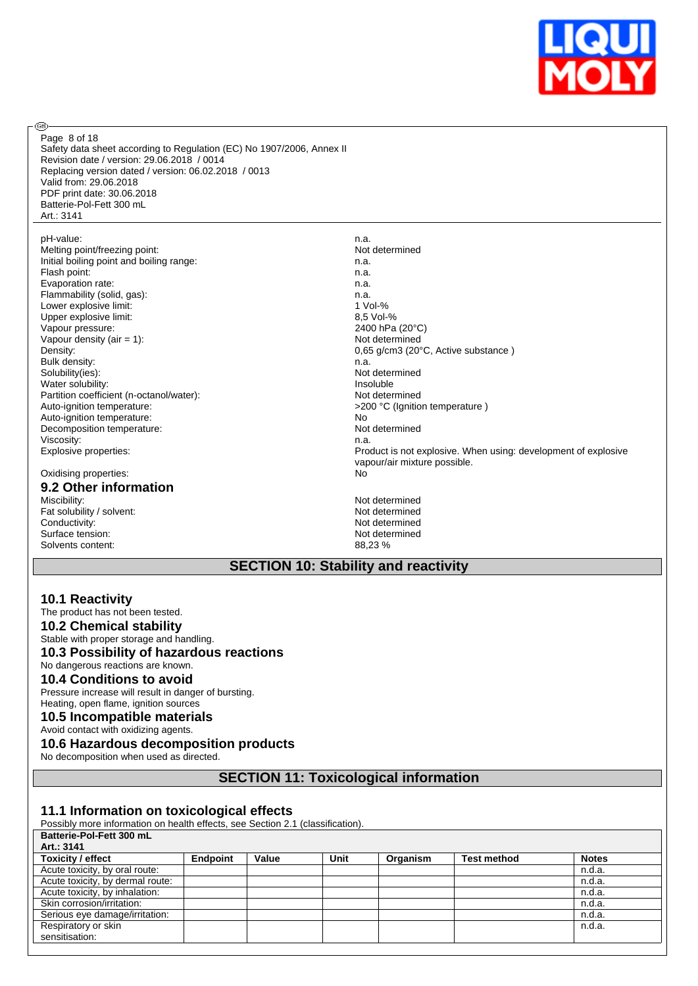

Page 8 of 18

**®** 

Safety data sheet according to Regulation (EC) No 1907/2006, Annex II Revision date / version: 29.06.2018 / 0014 Replacing version dated / version: 06.02.2018 / 0013 Valid from: 29.06.2018 PDF print date: 30.06.2018 Batterie-Pol-Fett 300 mL Art.: 3141

pH-value:<br>
Melting point/freezing point:<br>
Mot determined Melting point/freezing point: Initial boiling point and boiling range: n.a. Flash point: n.a. Evaporation rate: n.a. Flammability (solid, gas): n.a.<br>
Lower explosive limit: n.a.<br>
1 Vol-% Lower explosive limit:  $\begin{array}{ccc} 1 & 0 & 1 \ 0 & -\% & 1 \end{array}$ <br>Upper explosive limit:  $\begin{array}{ccc} 3.5 & 0 & -\% \\ 2.5 & 0 & -\% \\ 3.5 & 0 & -\% \\ 4.5 & 0 & -\% \\ 5 & 0 & -\% \\ 6 & 0 & -\% \\ 7 & 0 & -\% \\ 8 & 0 & -\% \\ 9 & 0 & -\% \\ 10 & 0 & -\% \\ 11 & 0 & -\% \\ 12 & 0 & -\% \\ 13 &$ Upper explosive limit: Vapour pressure: 2400 hPa (20°C)<br>
Vapour density (air = 1): 2400 hPa (20°C) Vapour density (air = 1): Bulk density: n.a. Solubility(ies): Not determined Water solubility:<br>
Partition coefficient (n-octanol/water):<br>
Partition coefficient (n-octanol/water): Partition coefficient (n-octanol/water): Auto-ignition temperature:  $\sim$ 200 °C (Ignition temperature )<br>Auto-ignition temperature: No Auto-ignition temperature:  $\begin{array}{ccc}\n\hline\n\end{array}$  No  $\begin{array}{ccc}\n\hline\n\end{array}$  No  $\begin{array}{ccc}\n\hline\n\end{array}$  No  $\begin{array}{ccc}\n\hline\n\end{array}$  No  $\begin{array}{ccc}\n\hline\n\end{array}$ Decomposition temperature: Viscosity: n.a.

#### Oxidising properties: No

# **9.2 Other information**

Miscibility: Not determined a state of the state of the state of the Not determined and the Not determined a state of the Not determined a state of the Not determined a state of the Not determined a state of the Not determ Fat solubility / solvent: Not determined<br>
Conductivity: Not determined<br>
Not determined Surface tension: Not determined the Solvents content: Not determined the Solvents content: Not determined the Solvents content: Not determined the Solvents of the Solvents of the Solvents of the Solvents of the Solvents of Solvents content:

Density: 0,65 g/cm3 (20°C, Active substance ) Explosive properties: Product is not explosive. When using: development of explosive vapour/air mixture possible.

Not determined<br>Not determined

## **SECTION 10: Stability and reactivity**

#### **10.1 Reactivity**

The product has not been tested. **10.2 Chemical stability** Stable with proper storage and handling. **10.3 Possibility of hazardous reactions** No dangerous reactions are known.

# **10.4 Conditions to avoid**

Pressure increase will result in danger of bursting. Heating, open flame, ignition sources

## **10.5 Incompatible materials**

Avoid contact with oxidizing agents.

# **10.6 Hazardous decomposition products**

No decomposition when used as directed.

**SECTION 11: Toxicological information**

#### **11.1 Information on toxicological effects**

Possibly more information on health effects, see Section 2.1 (classification).

| Batterie-Pol-Fett 300 mL         |                 |       |      |          |                    |              |
|----------------------------------|-----------------|-------|------|----------|--------------------|--------------|
| Art.: 3141                       |                 |       |      |          |                    |              |
| Toxicity / effect                | <b>Endpoint</b> | Value | Unit | Organism | <b>Test method</b> | <b>Notes</b> |
| Acute toxicity, by oral route:   |                 |       |      |          |                    | n.d.a.       |
| Acute toxicity, by dermal route: |                 |       |      |          |                    | n.d.a.       |
| Acute toxicity, by inhalation:   |                 |       |      |          |                    | n.d.a.       |
| Skin corrosion/irritation:       |                 |       |      |          |                    | n.d.a.       |
| Serious eye damage/irritation:   |                 |       |      |          |                    | n.d.a.       |
| Respiratory or skin              |                 |       |      |          |                    | n.d.a.       |
| sensitisation:                   |                 |       |      |          |                    |              |
|                                  |                 |       |      |          |                    |              |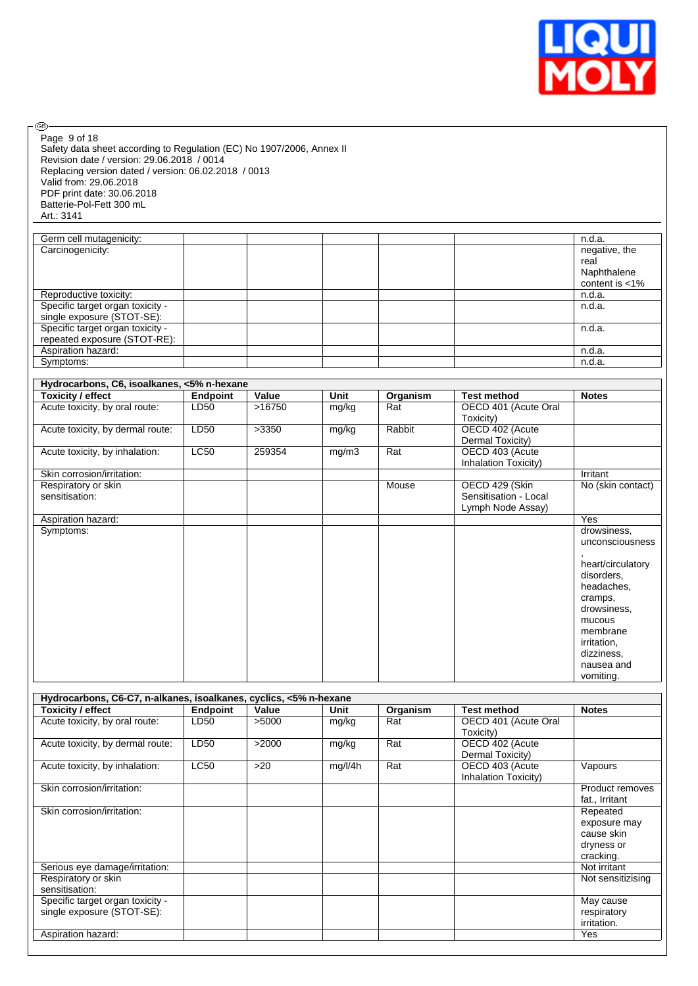

Safety data sheet according to Regulation (EC) No 1907/2006, Annex II Revision date / version: 29.06.2018 / 0014 Replacing version dated / version: 06.02.2018 / 0013 Valid from: 29.06.2018 PDF print date: 30.06.2018 Batterie-Pol-Fett 300 mL Art.: 3141 Page 9 of 18

 $\circledcirc$ 

| Germ cell mutagenicity:          |  |  | n.d.a.            |
|----------------------------------|--|--|-------------------|
| Carcinogenicity:                 |  |  | negative, the     |
|                                  |  |  | real              |
|                                  |  |  | Naphthalene       |
|                                  |  |  | content is $<$ 1% |
| Reproductive toxicity:           |  |  | n.d.a.            |
| Specific target organ toxicity - |  |  | n.d.a.            |
| single exposure (STOT-SE):       |  |  |                   |
| Specific target organ toxicity - |  |  | n.d.a.            |
| repeated exposure (STOT-RE):     |  |  |                   |
| Aspiration hazard:               |  |  | n.d.a.            |
| Symptoms:                        |  |  | n.d.a.            |
|                                  |  |  |                   |

| Hydrocarbons, C6, isoalkanes, <5% n-hexane |                 |        |       |          |                       |                   |
|--------------------------------------------|-----------------|--------|-------|----------|-----------------------|-------------------|
| Toxicity / effect                          | <b>Endpoint</b> | Value  | Unit  | Organism | <b>Test method</b>    | <b>Notes</b>      |
| Acute toxicity, by oral route:             | LD50            | >16750 | mg/kg | Rat      | OECD 401 (Acute Oral  |                   |
|                                            |                 |        |       |          | Toxicity)             |                   |
| Acute toxicity, by dermal route:           | LD50            | >3350  | mg/kg | Rabbit   | OECD 402 (Acute       |                   |
|                                            |                 |        |       |          | Dermal Toxicity)      |                   |
| Acute toxicity, by inhalation:             | <b>LC50</b>     | 259354 | mg/m3 | Rat      | OECD 403 (Acute       |                   |
|                                            |                 |        |       |          | Inhalation Toxicity)  |                   |
| Skin corrosion/irritation:                 |                 |        |       |          |                       | Irritant          |
| Respiratory or skin                        |                 |        |       | Mouse    | OECD 429 (Skin        | No (skin contact) |
| sensitisation:                             |                 |        |       |          | Sensitisation - Local |                   |
|                                            |                 |        |       |          | Lymph Node Assay)     |                   |
| Aspiration hazard:                         |                 |        |       |          |                       | Yes               |
| Symptoms:                                  |                 |        |       |          |                       | drowsiness,       |
|                                            |                 |        |       |          |                       | unconsciousness   |
|                                            |                 |        |       |          |                       |                   |
|                                            |                 |        |       |          |                       | heart/circulatory |
|                                            |                 |        |       |          |                       | disorders,        |
|                                            |                 |        |       |          |                       | headaches,        |
|                                            |                 |        |       |          |                       | cramps,           |
|                                            |                 |        |       |          |                       | drowsiness,       |
|                                            |                 |        |       |          |                       | mucous            |
|                                            |                 |        |       |          |                       | membrane          |
|                                            |                 |        |       |          |                       | irritation,       |
|                                            |                 |        |       |          |                       | dizziness,        |
|                                            |                 |        |       |          |                       | nausea and        |
|                                            |                 |        |       |          |                       | vomiting.         |

| Hydrocarbons, C6-C7, n-alkanes, isoalkanes, cyclics, <5% n-hexane |             |       |         |          |                      |                   |
|-------------------------------------------------------------------|-------------|-------|---------|----------|----------------------|-------------------|
| Toxicity / effect                                                 | Endpoint    | Value | Unit    | Organism | <b>Test method</b>   | <b>Notes</b>      |
| Acute toxicity, by oral route:                                    | LD50        | >5000 | mg/kg   | Rat      | OECD 401 (Acute Oral |                   |
|                                                                   |             |       |         |          | Toxicity)            |                   |
| Acute toxicity, by dermal route:                                  | LD50        | >2000 | mg/kg   | Rat      | OECD 402 (Acute      |                   |
|                                                                   |             |       |         |          | Dermal Toxicity)     |                   |
| Acute toxicity, by inhalation:                                    | <b>LC50</b> | $>20$ | mg/l/4h | Rat      | OECD 403 (Acute      | Vapours           |
|                                                                   |             |       |         |          | Inhalation Toxicity) |                   |
| Skin corrosion/irritation:                                        |             |       |         |          |                      | Product removes   |
|                                                                   |             |       |         |          |                      | fat., Irritant    |
| Skin corrosion/irritation:                                        |             |       |         |          |                      | Repeated          |
|                                                                   |             |       |         |          |                      | exposure may      |
|                                                                   |             |       |         |          |                      | cause skin        |
|                                                                   |             |       |         |          |                      | dryness or        |
|                                                                   |             |       |         |          |                      | cracking.         |
| Serious eye damage/irritation:                                    |             |       |         |          |                      | Not irritant      |
| Respiratory or skin                                               |             |       |         |          |                      | Not sensitizising |
| sensitisation:                                                    |             |       |         |          |                      |                   |
| Specific target organ toxicity -                                  |             |       |         |          |                      | May cause         |
| single exposure (STOT-SE):                                        |             |       |         |          |                      | respiratory       |
|                                                                   |             |       |         |          |                      | irritation.       |
| Aspiration hazard:                                                |             |       |         |          |                      | Yes               |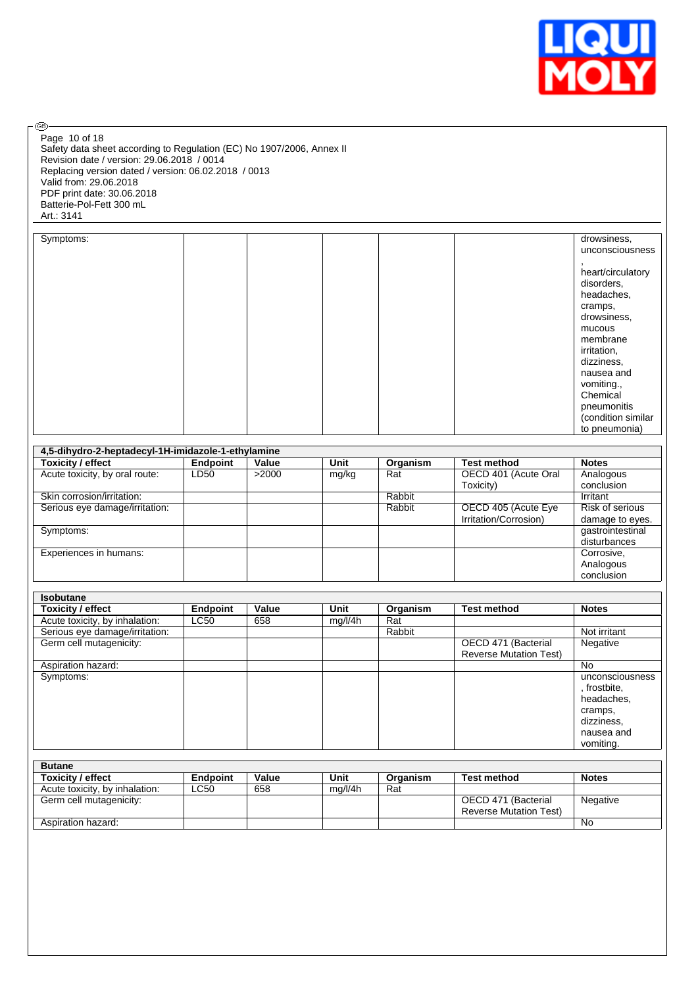

 $\circledcirc$ Page 10 of 18

Safety data sheet according to Regulation (EC) No 1907/2006, Annex II Revision date / version: 29.06.2018 / 0014 Replacing version dated / version: 06.02.2018 / 0013 Valid from: 29.06.2018 PDF print date: 30.06.2018 Batterie-Pol-Fett 300 mL Art.: 3141

| Symptoms: |  |  | drowsiness,        |
|-----------|--|--|--------------------|
|           |  |  | unconsciousness    |
|           |  |  |                    |
|           |  |  | heart/circulatory  |
|           |  |  | disorders,         |
|           |  |  | headaches,         |
|           |  |  | cramps,            |
|           |  |  | drowsiness,        |
|           |  |  | mucous             |
|           |  |  | membrane           |
|           |  |  | irritation,        |
|           |  |  | dizziness,         |
|           |  |  | nausea and         |
|           |  |  | vomiting.,         |
|           |  |  | Chemical           |
|           |  |  | pneumonitis        |
|           |  |  | (condition similar |
|           |  |  | to pneumonia)      |

| 4,5-dihydro-2-heptadecyl-1H-imidazole-1-ethylamine |          |       |       |          |                       |                  |  |  |  |  |
|----------------------------------------------------|----------|-------|-------|----------|-----------------------|------------------|--|--|--|--|
| Toxicity / effect                                  | Endpoint | Value | Unit  | Organism | <b>Test method</b>    | <b>Notes</b>     |  |  |  |  |
| Acute toxicity, by oral route:                     | LD50     | >2000 | mg/kg | Rat      | OECD 401 (Acute Oral  | Analogous        |  |  |  |  |
|                                                    |          |       |       |          | Toxicity)             | conclusion       |  |  |  |  |
| Skin corrosion/irritation:                         |          |       |       | Rabbit   |                       | Irritant         |  |  |  |  |
| Serious eye damage/irritation:                     |          |       |       | Rabbit   | OECD 405 (Acute Eye   | Risk of serious  |  |  |  |  |
|                                                    |          |       |       |          | Irritation/Corrosion) | damage to eyes.  |  |  |  |  |
| Symptoms:                                          |          |       |       |          |                       | gastrointestinal |  |  |  |  |
|                                                    |          |       |       |          |                       | disturbances     |  |  |  |  |
| Experiences in humans:                             |          |       |       |          |                       | Corrosive,       |  |  |  |  |
|                                                    |          |       |       |          |                       | Analogous        |  |  |  |  |
|                                                    |          |       |       |          |                       | conclusion       |  |  |  |  |

| <b>Isobutane</b>               |          |       |         |          |                               |                 |
|--------------------------------|----------|-------|---------|----------|-------------------------------|-----------------|
| <b>Toxicity / effect</b>       | Endpoint | Value | Unit    | Organism | <b>Test method</b>            | <b>Notes</b>    |
| Acute toxicity, by inhalation: | LC50     | 658   | mg/l/4h | Rat      |                               |                 |
| Serious eye damage/irritation: |          |       |         | Rabbit   |                               | Not irritant    |
| Germ cell mutagenicity:        |          |       |         |          | OECD 471 (Bacterial           | Negative        |
|                                |          |       |         |          | <b>Reverse Mutation Test)</b> |                 |
| Aspiration hazard:             |          |       |         |          |                               | No              |
| Symptoms:                      |          |       |         |          |                               | unconsciousness |
|                                |          |       |         |          |                               | , frostbite,    |
|                                |          |       |         |          |                               | headaches,      |
|                                |          |       |         |          |                               | cramps,         |
|                                |          |       |         |          |                               | dizziness,      |
|                                |          |       |         |          |                               | nausea and      |
|                                |          |       |         |          |                               | vomiting.       |

| <b>Butane</b>                  |                 |       |         |          |                               |              |
|--------------------------------|-----------------|-------|---------|----------|-------------------------------|--------------|
| <b>Toxicity / effect</b>       | <b>Endpoint</b> | Value | Unit    | Organism | <b>Test method</b>            | <b>Notes</b> |
| Acute toxicity, by inhalation: | LC50            | 658   | ma/l/4h | Rat      |                               |              |
| Germ cell mutagenicity:        |                 |       |         |          | OECD 471 (Bacterial           | Negative     |
|                                |                 |       |         |          | <b>Reverse Mutation Test)</b> |              |
| Aspiration hazard:             |                 |       |         |          |                               | No           |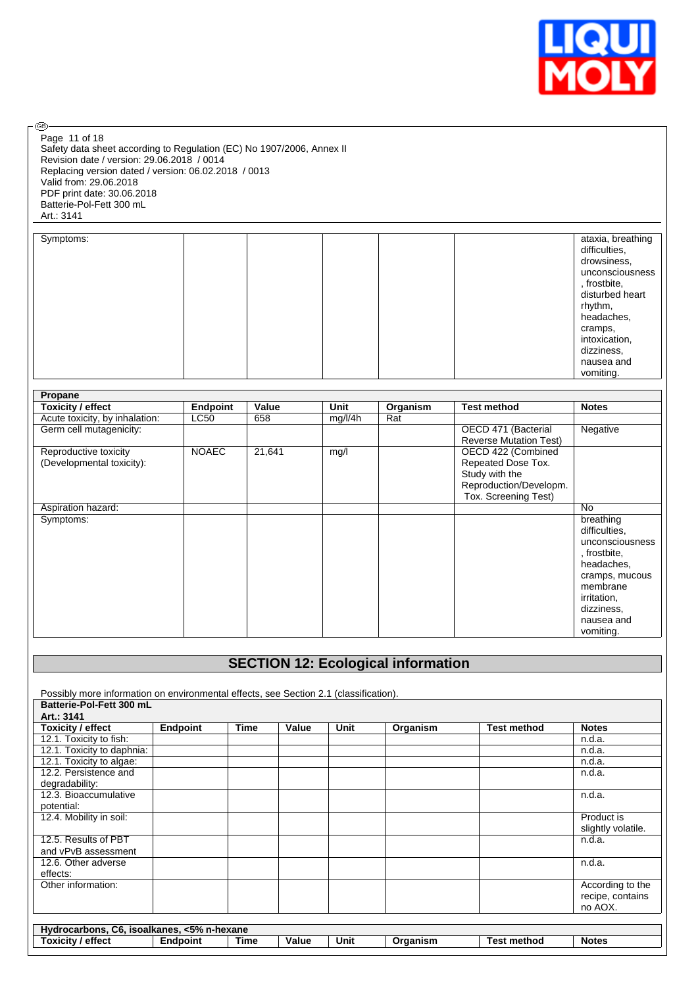

Page 11 of 18

®

Safety data sheet according to Regulation (EC) No 1907/2006, Annex II Revision date / version: 29.06.2018 / 0014 Replacing version dated / version: 06.02.2018 / 0013 Valid from: 29.06.2018 PDF print date: 30.06.2018 Batterie-Pol-Fett 300 mL Art.: 3141

| Symptoms: |  |  | ataxia, breathing<br>difficulties, |
|-----------|--|--|------------------------------------|
|           |  |  | drowsiness,                        |
|           |  |  | unconsciousness<br>, frostbite,    |
|           |  |  | disturbed heart                    |
|           |  |  | rhythm,                            |
|           |  |  | headaches,                         |
|           |  |  | cramps,                            |
|           |  |  | intoxication,                      |
|           |  |  | dizziness,                         |
|           |  |  | nausea and                         |
|           |  |  | vomiting.                          |

| Propane                        |                 |        |         |          |                               |                 |
|--------------------------------|-----------------|--------|---------|----------|-------------------------------|-----------------|
| <b>Toxicity / effect</b>       | <b>Endpoint</b> | Value  | Unit    | Organism | <b>Test method</b>            | <b>Notes</b>    |
| Acute toxicity, by inhalation: | <b>LC50</b>     | 658    | mg/l/4h | Rat      |                               |                 |
| Germ cell mutagenicity:        |                 |        |         |          | OECD 471 (Bacterial           | Negative        |
|                                |                 |        |         |          | <b>Reverse Mutation Test)</b> |                 |
| Reproductive toxicity          | <b>NOAEC</b>    | 21,641 | mg/l    |          | OECD 422 (Combined            |                 |
| (Developmental toxicity):      |                 |        |         |          | Repeated Dose Tox.            |                 |
|                                |                 |        |         |          | Study with the                |                 |
|                                |                 |        |         |          | Reproduction/Developm.        |                 |
|                                |                 |        |         |          | Tox. Screening Test)          |                 |
| Aspiration hazard:             |                 |        |         |          |                               | <b>No</b>       |
| Symptoms:                      |                 |        |         |          |                               | breathing       |
|                                |                 |        |         |          |                               | difficulties.   |
|                                |                 |        |         |          |                               | unconsciousness |
|                                |                 |        |         |          |                               | , frostbite,    |
|                                |                 |        |         |          |                               | headaches,      |
|                                |                 |        |         |          |                               | cramps, mucous  |
|                                |                 |        |         |          |                               | membrane        |
|                                |                 |        |         |          |                               | irritation,     |
|                                |                 |        |         |          |                               | dizziness,      |
|                                |                 |        |         |          |                               | nausea and      |
|                                |                 |        |         |          |                               | vomiting.       |

# **SECTION 12: Ecological information**

Possibly more information on environmental effects, see Section 2.1 (classification). **Batterie-Pol-Fett 300 mL Art.: 3141 Toxicity / effect Endpoint Time Value Unit Organism Test method Notes** 12.1. Toxicity to fish: n.d.a.<br>12.1. Toxicity to daphnia: n.d.a. 12.1. Toxicity to daphnia: 12.1. Toxicity to algae: n.d.a. n.d.a. n.d.a. n.d.a. n.d.a. n.d.a. n.d.a. n.d.a. n.d.a. n.d.a. 12.2. Persistence and degradability: n.d.a. 12.3. Bioaccumulative potential: n.d.a. 12.4. Mobility in soil: Product is slightly volatile. 12.5. Results of PBT and vPvB assessment n.d.a. 12.6. Other adverse effects: n.d.a. Other information: and according to the according to the according to the According to the recipe, contains no AOX. **Hydrocarbons, C6, isoalkanes, <5% n-hexane Toxicity / effect Endpoint Time Value Unit Organism Test method Notes**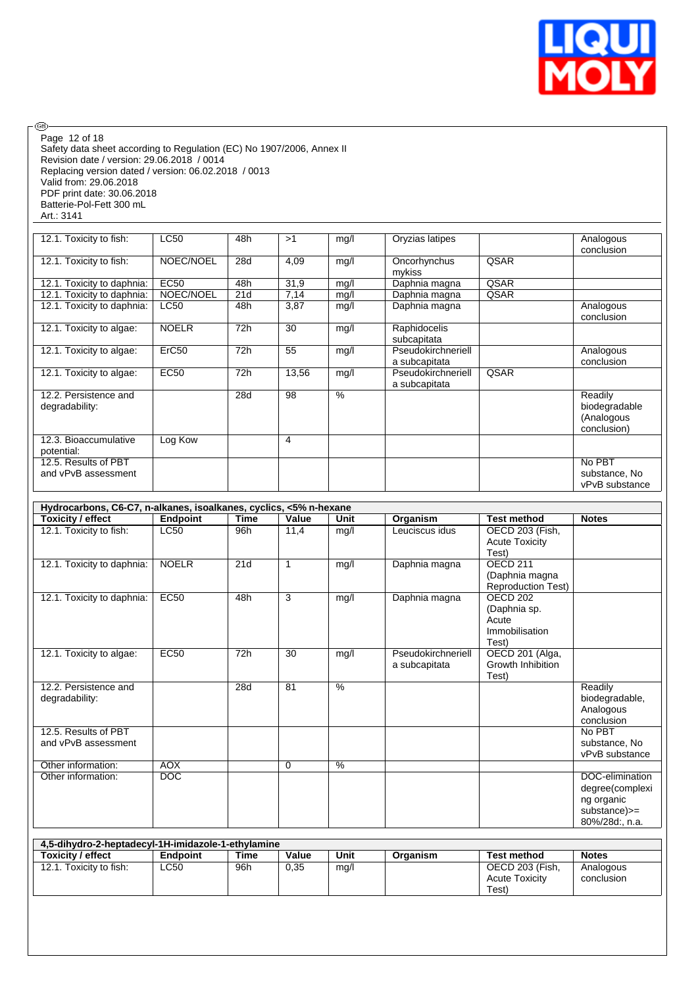

Safety data sheet according to Regulation (EC) No 1907/2006, Annex II Revision date / version: 29.06.2018 / 0014 Replacing version dated / version: 06.02.2018 / 0013 Valid from: 29.06.2018 PDF print date: 30.06.2018 Page 12 of 18

Batterie-Pol-Fett 300 mL Art.: 3141

 $\circledcirc$ 

| 12.1. Toxicity to fish:                     | LC50              | 48h | >1    | mg/l | Oryzias latipes                     |      | Analogous<br>conclusion                               |
|---------------------------------------------|-------------------|-----|-------|------|-------------------------------------|------|-------------------------------------------------------|
| 12.1. Toxicity to fish:                     | NOEC/NOEL         | 28d | 4,09  | mg/l | Oncorhynchus<br>mykiss              | QSAR |                                                       |
| 12.1. Toxicity to daphnia:                  | <b>EC50</b>       | 48h | 31,9  | mg/l | Daphnia magna                       | QSAR |                                                       |
| 12.1. Toxicity to daphnia:                  | NOEC/NOEL         | 21d | 7,14  | mg/l | Daphnia magna                       | QSAR |                                                       |
| 12.1. Toxicity to daphnia:                  | <b>LC50</b>       | 48h | 3,87  | mg/l | Daphnia magna                       |      | Analogous<br>conclusion                               |
| 12.1. Toxicity to algae:                    | <b>NOELR</b>      | 72h | 30    | mg/l | Raphidocelis<br>subcapitata         |      |                                                       |
| 12.1. Toxicity to algae:                    | ErC <sub>50</sub> | 72h | 55    | mg/l | Pseudokirchneriell                  |      | Analogous                                             |
|                                             |                   |     |       |      | a subcapitata                       |      | conclusion                                            |
| 12.1. Toxicity to algae:                    | <b>EC50</b>       | 72h | 13,56 | mg/l | Pseudokirchneriell<br>a subcapitata | QSAR |                                                       |
| 12.2. Persistence and<br>degradability:     |                   | 28d | 98    | $\%$ |                                     |      | Readily<br>biodegradable<br>(Analogous<br>conclusion) |
| 12.3. Bioaccumulative<br>potential:         | Log Kow           |     | 4     |      |                                     |      |                                                       |
| 12.5. Results of PBT<br>and vPvB assessment |                   |     |       |      |                                     |      | No PBT<br>substance, No<br>vPvB substance             |

|                            | Hydrocarbons, C6-C7, n-alkanes, isoalkanes, cyclics, <5% n-hexane |             |             |      |                    |                           |                 |  |  |  |  |  |
|----------------------------|-------------------------------------------------------------------|-------------|-------------|------|--------------------|---------------------------|-----------------|--|--|--|--|--|
| Toxicity / effect          | Endpoint                                                          | <b>Time</b> | Value       | Unit | Organism           | <b>Test method</b>        | <b>Notes</b>    |  |  |  |  |  |
| 12.1. Toxicity to fish:    | <b>LC50</b>                                                       | 96h         | 11,4        | mg/l | Leuciscus idus     | OECD 203 (Fish,           |                 |  |  |  |  |  |
|                            |                                                                   |             |             |      |                    | <b>Acute Toxicity</b>     |                 |  |  |  |  |  |
|                            |                                                                   |             |             |      |                    | Test)                     |                 |  |  |  |  |  |
| 12.1. Toxicity to daphnia: | <b>NOELR</b>                                                      | 21d         | 1           | mg/l | Daphnia magna      | <b>OECD 211</b>           |                 |  |  |  |  |  |
|                            |                                                                   |             |             |      |                    | (Daphnia magna            |                 |  |  |  |  |  |
|                            |                                                                   |             |             |      |                    | <b>Reproduction Test)</b> |                 |  |  |  |  |  |
| 12.1. Toxicity to daphnia: | <b>EC50</b>                                                       | 48h         | 3           | mg/l | Daphnia magna      | <b>OECD 202</b>           |                 |  |  |  |  |  |
|                            |                                                                   |             |             |      |                    | (Daphnia sp.              |                 |  |  |  |  |  |
|                            |                                                                   |             |             |      |                    | Acute                     |                 |  |  |  |  |  |
|                            |                                                                   |             |             |      |                    | Immobilisation            |                 |  |  |  |  |  |
|                            |                                                                   |             |             |      |                    | Test)                     |                 |  |  |  |  |  |
| 12.1. Toxicity to algae:   | <b>EC50</b>                                                       | 72h         | 30          | mg/l | Pseudokirchneriell | OECD 201 (Alga,           |                 |  |  |  |  |  |
|                            |                                                                   |             |             |      | a subcapitata      | Growth Inhibition         |                 |  |  |  |  |  |
|                            |                                                                   |             |             |      |                    | Test)                     |                 |  |  |  |  |  |
| 12.2. Persistence and      |                                                                   | 28d         | 81          | $\%$ |                    |                           | Readily         |  |  |  |  |  |
| degradability:             |                                                                   |             |             |      |                    |                           | biodegradable,  |  |  |  |  |  |
|                            |                                                                   |             |             |      |                    |                           | Analogous       |  |  |  |  |  |
|                            |                                                                   |             |             |      |                    |                           | conclusion      |  |  |  |  |  |
| 12.5. Results of PBT       |                                                                   |             |             |      |                    |                           | No PBT          |  |  |  |  |  |
| and vPvB assessment        |                                                                   |             |             |      |                    |                           | substance, No   |  |  |  |  |  |
|                            |                                                                   |             |             |      |                    |                           | vPvB substance  |  |  |  |  |  |
| Other information:         | <b>AOX</b>                                                        |             | $\mathbf 0$ | %    |                    |                           |                 |  |  |  |  |  |
| Other information:         | DOC                                                               |             |             |      |                    |                           | DOC-elimination |  |  |  |  |  |
|                            |                                                                   |             |             |      |                    |                           | degree(complexi |  |  |  |  |  |
|                            |                                                                   |             |             |      |                    |                           | ng organic      |  |  |  |  |  |
|                            |                                                                   |             |             |      |                    |                           | substance)>=    |  |  |  |  |  |
|                            |                                                                   |             |             |      |                    |                           | 80%/28d:, n.a.  |  |  |  |  |  |

| 4.5-dihydro-2-heptadecyl-1H-imidazole-1-ethylamine |                 |      |       |      |          |                                          |                         |  |  |  |  |
|----------------------------------------------------|-----------------|------|-------|------|----------|------------------------------------------|-------------------------|--|--|--|--|
| <b>Toxicity / effect</b>                           | <b>Endpoint</b> | Time | Value | Unit | Organism | <b>Test method</b>                       | <b>Notes</b>            |  |  |  |  |
| 12.1. Toxicity to fish:                            | LC50            | 96h  | 0.35  | mg/l |          | OECD 203 (Fish.<br><b>Acute Toxicity</b> | Analogous<br>conclusion |  |  |  |  |
|                                                    |                 |      |       |      |          | Test)                                    |                         |  |  |  |  |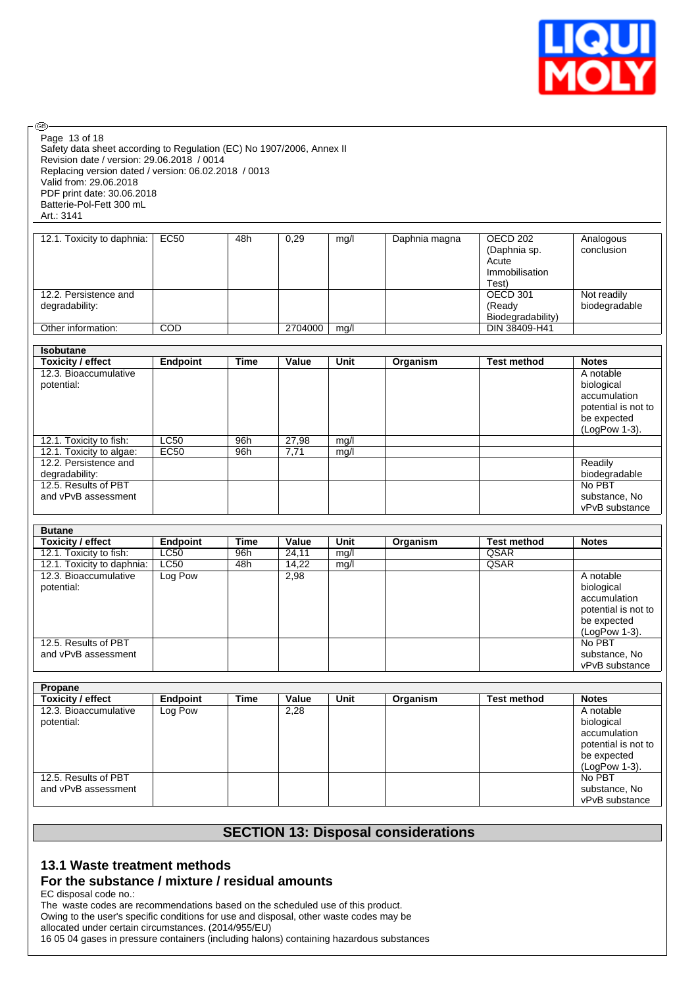

Safety data sheet according to Regulation (EC) No 1907/2006, Annex II Revision date / version: 29.06.2018 / 0014 Replacing version dated / version: 06.02.2018 / 0013 Valid from: 29.06.2018 PDF print date: 30.06.2018 Batterie-Pol-Fett 300 mL Art.: 3141 Page 13 of 18

◉

| 12.1. Toxicity to daphnia:              | EC50 | 48h | 0,29    | mg/l | Daphnia magna | OECD 202<br>(Daphnia sp.<br>Acute       | Analogous<br>conclusion      |
|-----------------------------------------|------|-----|---------|------|---------------|-----------------------------------------|------------------------------|
|                                         |      |     |         |      |               | Immobilisation<br>Test)                 |                              |
| 12.2. Persistence and<br>degradability: |      |     |         |      |               | OECD 301<br>(Ready<br>Biodegradability) | Not readily<br>biodegradable |
| Other information:                      | COD  |     | 2704000 | mq/l |               | DIN 38409-H41                           |                              |

| <b>Isobutane</b>         |             |             |       |      |          |                    |                     |
|--------------------------|-------------|-------------|-------|------|----------|--------------------|---------------------|
| <b>Toxicity / effect</b> | Endpoint    | <b>Time</b> | Value | Unit | Organism | <b>Test method</b> | <b>Notes</b>        |
| 12.3. Bioaccumulative    |             |             |       |      |          |                    | A notable           |
| potential:               |             |             |       |      |          |                    | biological          |
|                          |             |             |       |      |          |                    | accumulation        |
|                          |             |             |       |      |          |                    | potential is not to |
|                          |             |             |       |      |          |                    | be expected         |
|                          |             |             |       |      |          |                    | (LogPow 1-3).       |
| 12.1. Toxicity to fish:  | <b>LC50</b> | 96h         | 27,98 | mg/l |          |                    |                     |
| 12.1. Toxicity to algae: | EC50        | 96h         | 7,71  | mq/l |          |                    |                     |
| 12.2. Persistence and    |             |             |       |      |          |                    | Readily             |
| degradability:           |             |             |       |      |          |                    | biodegradable       |
| 12.5. Results of PBT     |             |             |       |      |          |                    | No PBT              |
| and vPvB assessment      |             |             |       |      |          |                    | substance, No       |
|                          |             |             |       |      |          |                    | vPvB substance      |

| <b>Butane</b>              |             |      |       |      |          |                    |                     |
|----------------------------|-------------|------|-------|------|----------|--------------------|---------------------|
| <b>Toxicity / effect</b>   | Endpoint    | Time | Value | Unit | Organism | <b>Test method</b> | <b>Notes</b>        |
| 12.1. Toxicity to fish:    | LC50        | 96h  | 24.11 | mg/l |          | QSAR               |                     |
| 12.1. Toxicity to daphnia: | <b>LC50</b> | 48h  | 14.22 | mq/l |          | QSAR               |                     |
| 12.3. Bioaccumulative      | Log Pow     |      | 2,98  |      |          |                    | A notable           |
| potential:                 |             |      |       |      |          |                    | biological          |
|                            |             |      |       |      |          |                    | accumulation        |
|                            |             |      |       |      |          |                    | potential is not to |
|                            |             |      |       |      |          |                    | be expected         |
|                            |             |      |       |      |          |                    | (LogPow 1-3).       |
| 12.5. Results of PBT       |             |      |       |      |          |                    | No PBT              |
| and vPvB assessment        |             |      |       |      |          |                    | substance, No       |
|                            |             |      |       |      |          |                    | vPvB substance      |

| Propane                                     |          |             |       |      |          |                    |                                                                                                |
|---------------------------------------------|----------|-------------|-------|------|----------|--------------------|------------------------------------------------------------------------------------------------|
| <b>Toxicity / effect</b>                    | Endpoint | <b>Time</b> | Value | Unit | Organism | <b>Test method</b> | <b>Notes</b>                                                                                   |
| 12.3. Bioaccumulative<br>potential:         | Log Pow  |             | 2,28  |      |          |                    | A notable<br>biological<br>accumulation<br>potential is not to<br>be expected<br>(LogPow 1-3). |
| 12.5. Results of PBT<br>and vPvB assessment |          |             |       |      |          |                    | No PBT<br>substance, No<br>vPvB substance                                                      |

# **SECTION 13: Disposal considerations**

# **13.1 Waste treatment methods**

## **For the substance / mixture / residual amounts**

EC disposal code no.:

The waste codes are recommendations based on the scheduled use of this product. Owing to the user's specific conditions for use and disposal, other waste codes may be allocated under certain circumstances. (2014/955/EU)

16 05 04 gases in pressure containers (including halons) containing hazardous substances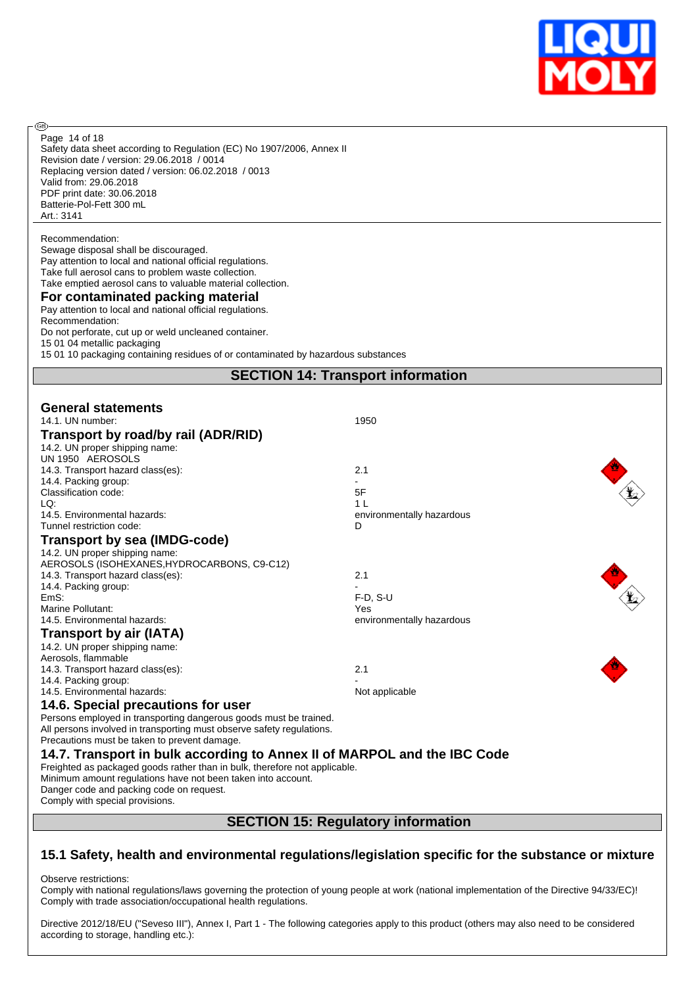

Safety data sheet according to Regulation (EC) No 1907/2006, Annex II Revision date / version: 29.06.2018 / 0014 Replacing version dated / version: 06.02.2018 / 0013 Valid from: 29.06.2018 PDF print date: 30.06.2018 Batterie-Pol-Fett 300 mL Art.: 3141 Page 14 of 18

Recommendation:

@

Sewage disposal shall be discouraged. Pay attention to local and national official regulations. Take full aerosol cans to problem waste collection. Take emptied aerosol cans to valuable material collection. **For contaminated packing material** Pay attention to local and national official regulations. Recommendation:

Do not perforate, cut up or weld uncleaned container. 15 01 04 metallic packaging

15 01 10 packaging containing residues of or contaminated by hazardous substances

# **SECTION 14: Transport information**

| <b>General statements</b><br>14.1. UN number:<br>Transport by road/by rail (ADR/RID)                     | 1950                           |  |  |  |
|----------------------------------------------------------------------------------------------------------|--------------------------------|--|--|--|
| 14.2. UN proper shipping name:<br>UN 1950 AEROSOLS                                                       |                                |  |  |  |
| 14.3. Transport hazard class(es):                                                                        | 2.1                            |  |  |  |
| 14.4. Packing group:                                                                                     |                                |  |  |  |
| Classification code:                                                                                     | 5F                             |  |  |  |
| LQ:<br>14.5. Environmental hazards:                                                                      | 1 <sub>L</sub>                 |  |  |  |
| Tunnel restriction code:                                                                                 | environmentally hazardous<br>D |  |  |  |
| <b>Transport by sea (IMDG-code)</b>                                                                      |                                |  |  |  |
| 14.2. UN proper shipping name:                                                                           |                                |  |  |  |
| AEROSOLS (ISOHEXANES, HYDROCARBONS, C9-C12)                                                              |                                |  |  |  |
| 14.3. Transport hazard class(es):                                                                        | 2.1                            |  |  |  |
| 14.4. Packing group:                                                                                     |                                |  |  |  |
| EmS:                                                                                                     | $F-D. S-U$                     |  |  |  |
| Marine Pollutant:                                                                                        | Yes                            |  |  |  |
| 14.5. Environmental hazards:                                                                             | environmentally hazardous      |  |  |  |
| Transport by air (IATA)                                                                                  |                                |  |  |  |
| 14.2. UN proper shipping name:                                                                           |                                |  |  |  |
| Aerosols, flammable                                                                                      |                                |  |  |  |
| 14.3. Transport hazard class(es):                                                                        | 2.1                            |  |  |  |
| 14.4. Packing group:<br>14.5. Environmental hazards:                                                     |                                |  |  |  |
|                                                                                                          | Not applicable                 |  |  |  |
| 14.6. Special precautions for user                                                                       |                                |  |  |  |
| Persons employed in transporting dangerous goods must be trained.                                        |                                |  |  |  |
| All persons involved in transporting must observe safety regulations.                                    |                                |  |  |  |
| Precautions must be taken to prevent damage.                                                             |                                |  |  |  |
| 14.7. Transport in bulk according to Annex II of MARPOL and the IBC Code                                 |                                |  |  |  |
| Freighted as packaged goods rather than in bulk, therefore not applicable.                               |                                |  |  |  |
| Minimum amount regulations have not been taken into account.<br>Danger code and packing code on request. |                                |  |  |  |
| Comply with special provisions.                                                                          |                                |  |  |  |
|                                                                                                          |                                |  |  |  |
| <b>SECTION 15: Regulatory information</b>                                                                |                                |  |  |  |

# **15.1 Safety, health and environmental regulations/legislation specific for the substance or mixture**

Observe restrictions:

Comply with national regulations/laws governing the protection of young people at work (national implementation of the Directive 94/33/EC)! Comply with trade association/occupational health regulations.

Directive 2012/18/EU ("Seveso III"), Annex I, Part 1 - The following categories apply to this product (others may also need to be considered according to storage, handling etc.):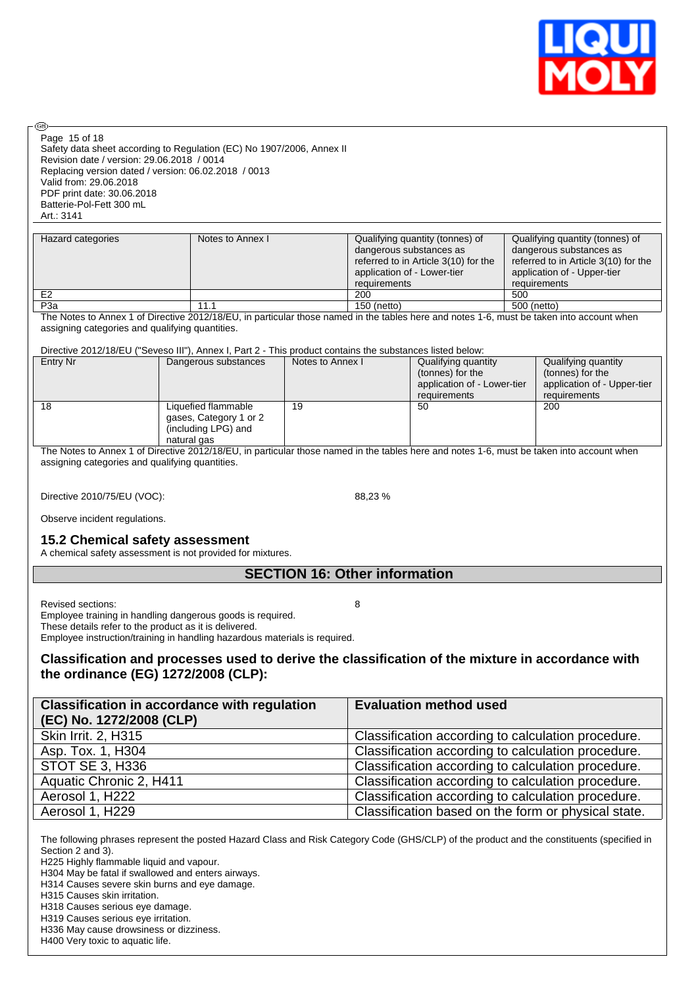

Safety data sheet according to Regulation (EC) No 1907/2006, Annex II Revision date / version: 29.06.2018 / 0014 Replacing version dated / version: 06.02.2018 / 0013 Valid from: 29.06.2018 PDF print date: 30.06.2018 Batterie-Pol-Fett 300 mL Art.: 3141 Page 15 of 18

| Hazard categories | Notes to Annex I | Qualifying quantity (tonnes) of      | Qualifying quantity (tonnes) of      |
|-------------------|------------------|--------------------------------------|--------------------------------------|
|                   |                  | dangerous substances as              | dangerous substances as              |
|                   |                  | referred to in Article 3(10) for the | referred to in Article 3(10) for the |
|                   |                  | application of - Lower-tier          | application of - Upper-tier          |
|                   |                  | requirements                         | requirements                         |
| E <sub>2</sub>    |                  | 200                                  | 500                                  |
| P <sub>3</sub> a  | 11.1             | 150 (netto)                          | 500 (netto)                          |

The Notes to Annex 1 of Directive 2012/18/EU, in particular those named in the tables here and notes 1-6, must be taken into account when assigning categories and qualifying quantities.

#### Directive 2012/18/EU ("Seveso III"), Annex I, Part 2 - This product contains the substances listed below:

| Entry Nr | Dangerous substances                                                                | Notes to Annex I | Qualifying quantity<br>(tonnes) for the<br>application of - Lower-tier<br>requirements | Qualifying quantity<br>(tonnes) for the<br>application of - Upper-tier<br>requirements |
|----------|-------------------------------------------------------------------------------------|------------------|----------------------------------------------------------------------------------------|----------------------------------------------------------------------------------------|
| 18       | Liquefied flammable<br>gases, Category 1 or 2<br>(including LPG) and<br>natural gas | 19               | 50                                                                                     | 200                                                                                    |

The Notes to Annex 1 of Directive 2012/18/EU, in particular those named in the tables here and notes 1-6, must be taken into account when assigning categories and qualifying quantities.

Directive 2010/75/EU (VOC): 88,23 %

Observe incident regulations.

## **15.2 Chemical safety assessment**

A chemical safety assessment is not provided for mixtures.

# **SECTION 16: Other information**

Revised sections: 8

**®** 

Employee training in handling dangerous goods is required. These details refer to the product as it is delivered. Employee instruction/training in handling hazardous materials is required.

# **Classification and processes used to derive the classification of the mixture in accordance with the ordinance (EG) 1272/2008 (CLP):**

| <b>Classification in accordance with regulation</b><br>(EC) No. 1272/2008 (CLP) | <b>Evaluation method used</b>                       |
|---------------------------------------------------------------------------------|-----------------------------------------------------|
| Skin Irrit. 2, H315                                                             | Classification according to calculation procedure.  |
| Asp. Tox. 1, H304                                                               | Classification according to calculation procedure.  |
| <b>STOT SE 3, H336</b>                                                          | Classification according to calculation procedure.  |
| Aquatic Chronic 2, H411                                                         | Classification according to calculation procedure.  |
| Aerosol 1, H222                                                                 | Classification according to calculation procedure.  |
| Aerosol 1, H229                                                                 | Classification based on the form or physical state. |

The following phrases represent the posted Hazard Class and Risk Category Code (GHS/CLP) of the product and the constituents (specified in Section 2 and 3).

H225 Highly flammable liquid and vapour.

H304 May be fatal if swallowed and enters airways.

H314 Causes severe skin burns and eye damage.

H315 Causes skin irritation.

H318 Causes serious eye damage.

H319 Causes serious eye irritation.

H336 May cause drowsiness or dizziness.

H400 Very toxic to aquatic life.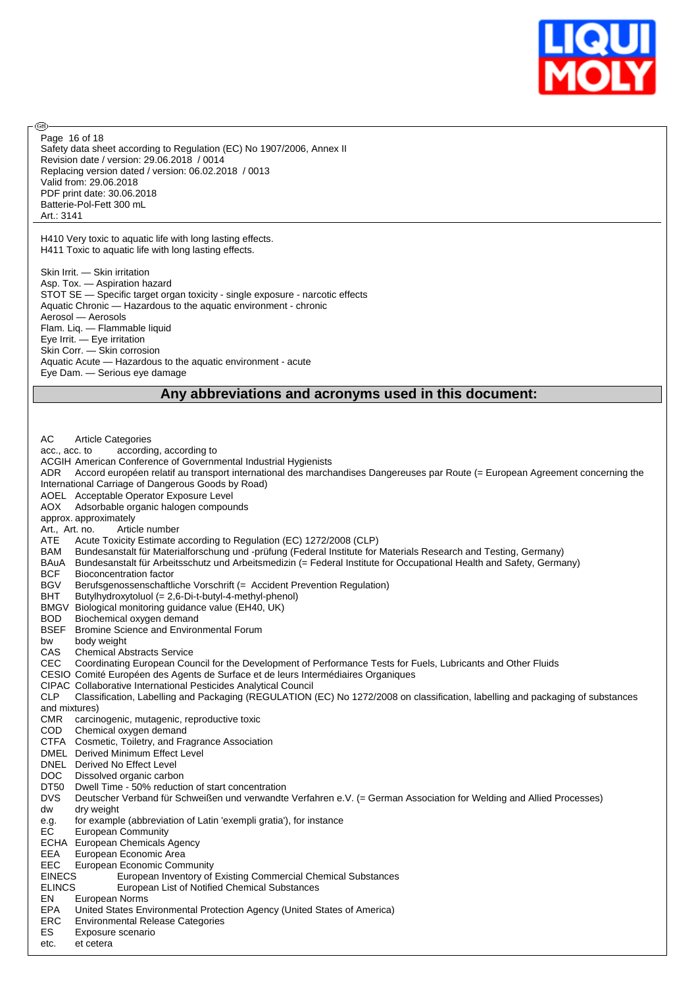

Safety data sheet according to Regulation (EC) No 1907/2006, Annex II Revision date / version: 29.06.2018 / 0014 Replacing version dated / version: 06.02.2018 / 0013 Valid from: 29.06.2018 PDF print date: 30.06.2018 Batterie-Pol-Fett 300 mL Art.: 3141 Page 16 of 18

H410 Very toxic to aquatic life with long lasting effects. H411 Toxic to aquatic life with long lasting effects.

൹

Skin Irrit. — Skin irritation Asp. Tox. — Aspiration hazard STOT SE — Specific target organ toxicity - single exposure - narcotic effects Aquatic Chronic — Hazardous to the aquatic environment - chronic Aerosol — Aerosols Flam. Liq. — Flammable liquid Eye Irrit. — Eye irritation Skin Corr. — Skin corrosion Aquatic Acute — Hazardous to the aquatic environment - acute Eye Dam. — Serious eye damage

## **Any abbreviations and acronyms used in this document:**

AC Article Categories acc., acc. to according, according to ACGIH American Conference of Governmental Industrial Hygienists ADR Accord européen relatif au transport international des marchandises Dangereuses par Route (= European Agreement concerning the International Carriage of Dangerous Goods by Road) AOEL Acceptable Operator Exposure Level AOX Adsorbable organic halogen compounds approx. approximately Art., Art. no. Article number ATE Acute Toxicity Estimate according to Regulation (EC) 1272/2008 (CLP) BAM Bundesanstalt für Materialforschung und -prüfung (Federal Institute for Materials Research and Testing, Germany) BAuA Bundesanstalt für Arbeitsschutz und Arbeitsmedizin (= Federal Institute for Occupational Health and Safety, Germany) BCF Bioconcentration factor BGV Berufsgenossenschaftliche Vorschrift (= Accident Prevention Regulation)<br>BHT Butylhydroxytoluol (= 2,6-Di-t-butyl-4-methyl-phenol) Butylhydroxytoluol (= 2,6-Di-t-butyl-4-methyl-phenol) BMGV Biological monitoring guidance value (EH40, UK) BOD Biochemical oxygen demand BSEF Bromine Science and Environmental Forum<br>bw body weight body weight CAS Chemical Abstracts Service CEC Coordinating European Council for the Development of Performance Tests for Fuels, Lubricants and Other Fluids CESIO Comité Européen des Agents de Surface et de leurs Intermédiaires Organiques CIPAC Collaborative International Pesticides Analytical Council Classification, Labelling and Packaging (REGULATION (EC) No 1272/2008 on classification, labelling and packaging of substances and mixtures) CMR carcinogenic, mutagenic, reproductive toxic COD Chemical oxygen demand CTFA Cosmetic, Toiletry, and Fragrance Association DMEL Derived Minimum Effect Level DNEL Derived No Effect Level DOC Dissolved organic carbon DT50 Dwell Time - 50% reduction of start concentration DVS Deutscher Verband für Schweißen und verwandte Verfahren e.V. (= German Association for Welding and Allied Processes) dw dry weight e.g. for example (abbreviation of Latin 'exempli gratia'), for instance EC European Community ECHA European Chemicals Agency EEA European Economic Area<br>EEC European Economic Com **European Economic Community** EINECS European Inventory of Existing Commercial Chemical Substances ELINCS European List of Notified Chemical Substances EN European Norms EPA United States Environmental Protection Agency (United States of America) Environmental Release Categories ES Exposure scenario etc. et cetera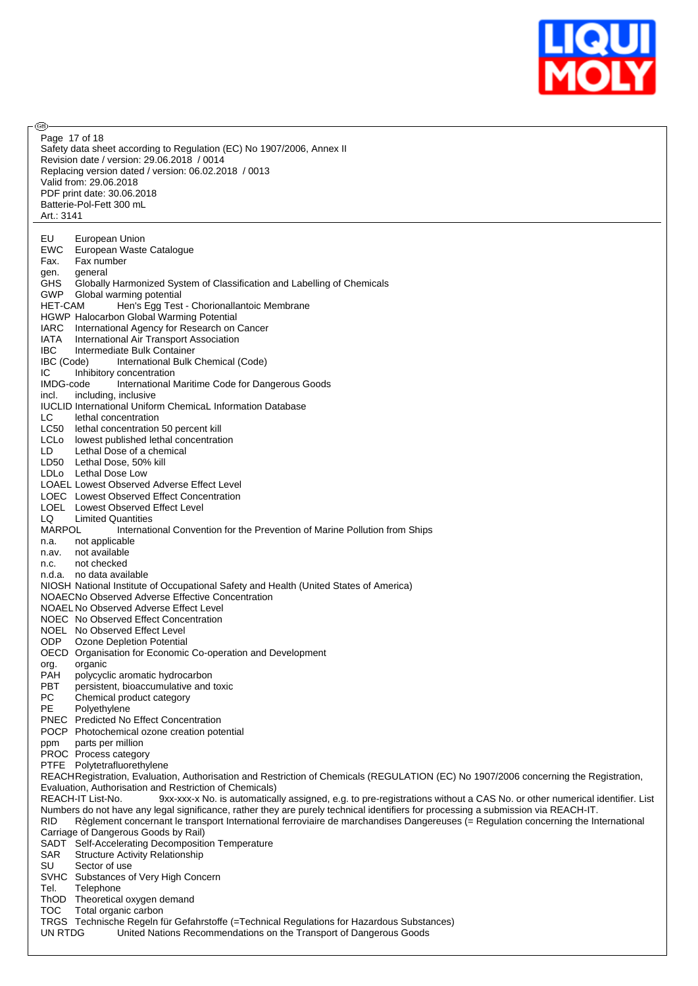

**®** Page 17 of 18Safety data sheet according to Regulation (EC) No 1907/2006, Annex II Revision date / version: 29.06.2018 / 0014 Replacing version dated / version: 06.02.2018 / 0013 Valid from: 29.06.2018 PDF print date: 30.06.2018 Batterie-Pol-Fett 300 mL Art.: 3141 EU European Union<br>EWC European Waste European Waste Catalogue Fax. Fax number gen. general GHS Globally Harmonized System of Classification and Labelling of Chemicals GWP Global warming potential<br>HET-CAM Hen's Egg Test Hen's Egg Test - Chorionallantoic Membrane HGWP Halocarbon Global Warming Potential IARC International Agency for Research on Cancer IATA International Air Transport Association IBC Intermediate Bulk Container IBC (Code) International Bulk Chemical (Code) IC Inhibitory concentration IMDG-code International Maritime Code for Dangerous Goods incl. including, inclusive IUCLID International Uniform ChemicaL Information Database LC lethal concentration LC50 lethal concentration 50 percent kill LCLo lowest published lethal concentration LD Lethal Dose of a chemical LD50 Lethal Dose, 50% kill LDLo Lethal Dose Low LOAEL Lowest Observed Adverse Effect Level LOEC Lowest Observed Effect Concentration LOEL Lowest Observed Effect Level LQ Limited Quantities<br>MARPOL Internation International Convention for the Prevention of Marine Pollution from Ships n.a. not applicable n.av. not available n.c. not checked n.d.a. no data available NIOSH National Institute of Occupational Safety and Health (United States of America) NOAECNo Observed Adverse Effective Concentration NOAEL No Observed Adverse Effect Level NOEC No Observed Effect Concentration NOEL No Observed Effect Level ODP Ozone Depletion Potential OECD Organisation for Economic Co-operation and Development org. organic<br>PAH polycyc PAH polycyclic aromatic hydrocarbon<br>PBT persistent, bioaccumulative and **PBT** persistent, bioaccumulative and toxic<br>PC Chemical product category Chemical product category PE Polyethylene PNEC Predicted No Effect Concentration POCP Photochemical ozone creation potential ppm parts per million PROC Process category PTFE Polytetrafluorethylene REACHRegistration, Evaluation, Authorisation and Restriction of Chemicals (REGULATION (EC) No 1907/2006 concerning the Registration, Evaluation, Authorisation and Restriction of Chemicals) REACH-IT List-No. 9xx-xxx-x No. is automatically assigned, e.g. to pre-registrations without a CAS No. or other numerical identifier. List Numbers do not have any legal significance, rather they are purely technical identifiers for processing a submission via REACH-IT. RID Règlement concernant le transport International ferroviaire de marchandises Dangereuses (= Regulation concerning the International Carriage of Dangerous Goods by Rail) SADT Self-Accelerating Decomposition Temperature SAR Structure Activity Relationship SU Sector of use SVHC Substances of Very High Concern Tel. Telephone ThOD Theoretical oxygen demand<br>TOC Total organic carbon Total organic carbon TRGS Technische Regeln für Gefahrstoffe (=Technical Regulations for Hazardous Substances) UN RTDG United Nations Recommendations on the Transport of Dangerous Goods